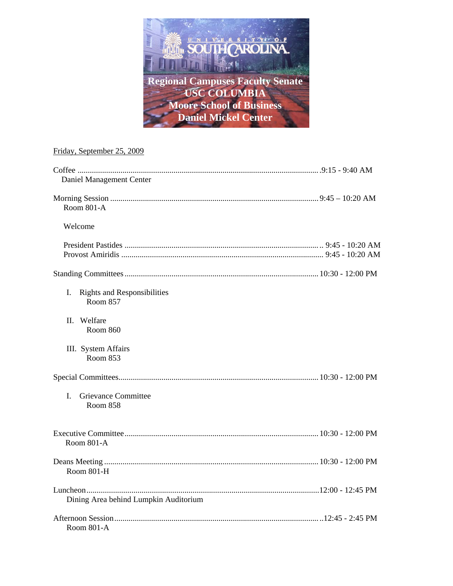

# Friday, September 25, 2009

| Daniel Management Center                             |  |
|------------------------------------------------------|--|
| Room 801-A                                           |  |
| Welcome                                              |  |
|                                                      |  |
|                                                      |  |
| I.<br><b>Rights and Responsibilities</b><br>Room 857 |  |
| II. Welfare<br><b>Room 860</b>                       |  |
| III. System Affairs<br>Room 853                      |  |
|                                                      |  |
| Grievance Committee<br>$\mathbf{I}$<br>Room 858      |  |
| Room 801-A                                           |  |
| Room 801-H                                           |  |
| Dining Area behind Lumpkin Auditorium                |  |
| Room 801-A                                           |  |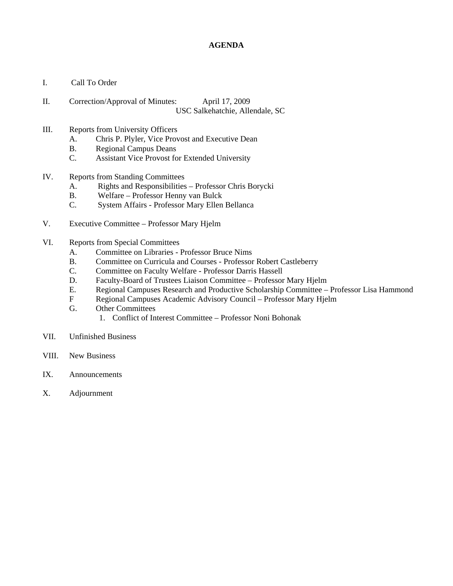### **AGENDA**

- I. Call To Order
- II. Correction/Approval of Minutes: April 17, 2009 USC Salkehatchie, Allendale, SC
- III. Reports from University Officers
	- A. Chris P. Plyler, Vice Provost and Executive Dean
	- B. Regional Campus Deans
	- C. Assistant Vice Provost for Extended University
- IV. Reports from Standing Committees
	- A. Rights and Responsibilities Professor Chris Borycki
	- B. Welfare Professor Henny van Bulck
	- C. System Affairs Professor Mary Ellen Bellanca
- V. Executive Committee Professor Mary Hjelm
- VI. Reports from Special Committees
	- A. Committee on Libraries Professor Bruce Nims
	- B. Committee on Curricula and Courses Professor Robert Castleberry
	- C. Committee on Faculty Welfare Professor Darris Hassell
	- D. Faculty-Board of Trustees Liaison Committee Professor Mary Hjelm
	- E. Regional Campuses Research and Productive Scholarship Committee Professor Lisa Hammond
	- F Regional Campuses Academic Advisory Council Professor Mary Hjelm
	- G. Other Committees
		- 1. Conflict of Interest Committee Professor Noni Bohonak
- VII. Unfinished Business
- VIII. New Business
- IX. Announcements
- X. Adjournment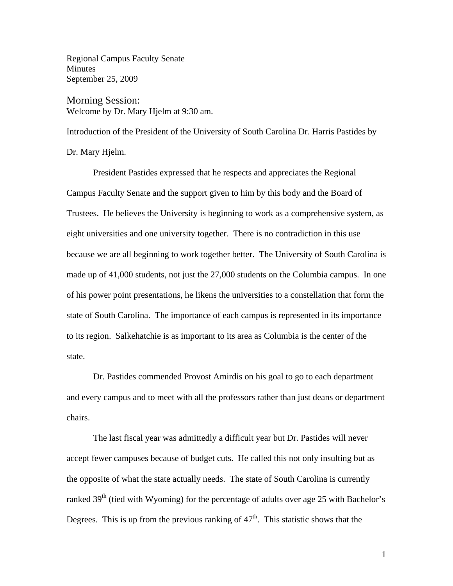Regional Campus Faculty Senate **Minutes** September 25, 2009

Morning Session: Welcome by Dr. Mary Hjelm at 9:30 am.

Introduction of the President of the University of South Carolina Dr. Harris Pastides by Dr. Mary Hjelm.

 President Pastides expressed that he respects and appreciates the Regional Campus Faculty Senate and the support given to him by this body and the Board of Trustees. He believes the University is beginning to work as a comprehensive system, as eight universities and one university together. There is no contradiction in this use because we are all beginning to work together better. The University of South Carolina is made up of 41,000 students, not just the 27,000 students on the Columbia campus. In one of his power point presentations, he likens the universities to a constellation that form the state of South Carolina. The importance of each campus is represented in its importance to its region. Salkehatchie is as important to its area as Columbia is the center of the state.

 Dr. Pastides commended Provost Amirdis on his goal to go to each department and every campus and to meet with all the professors rather than just deans or department chairs.

 The last fiscal year was admittedly a difficult year but Dr. Pastides will never accept fewer campuses because of budget cuts. He called this not only insulting but as the opposite of what the state actually needs. The state of South Carolina is currently ranked  $39<sup>th</sup>$  (tied with Wyoming) for the percentage of adults over age 25 with Bachelor's Degrees. This is up from the previous ranking of  $47<sup>th</sup>$ . This statistic shows that the

1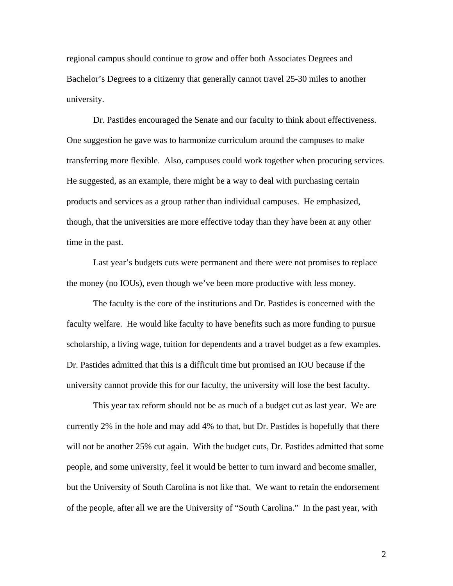regional campus should continue to grow and offer both Associates Degrees and Bachelor's Degrees to a citizenry that generally cannot travel 25-30 miles to another university.

 Dr. Pastides encouraged the Senate and our faculty to think about effectiveness. One suggestion he gave was to harmonize curriculum around the campuses to make transferring more flexible. Also, campuses could work together when procuring services. He suggested, as an example, there might be a way to deal with purchasing certain products and services as a group rather than individual campuses. He emphasized, though, that the universities are more effective today than they have been at any other time in the past.

 Last year's budgets cuts were permanent and there were not promises to replace the money (no IOUs), even though we've been more productive with less money.

 The faculty is the core of the institutions and Dr. Pastides is concerned with the faculty welfare. He would like faculty to have benefits such as more funding to pursue scholarship, a living wage, tuition for dependents and a travel budget as a few examples. Dr. Pastides admitted that this is a difficult time but promised an IOU because if the university cannot provide this for our faculty, the university will lose the best faculty.

 This year tax reform should not be as much of a budget cut as last year. We are currently 2% in the hole and may add 4% to that, but Dr. Pastides is hopefully that there will not be another 25% cut again. With the budget cuts, Dr. Pastides admitted that some people, and some university, feel it would be better to turn inward and become smaller, but the University of South Carolina is not like that. We want to retain the endorsement of the people, after all we are the University of "South Carolina." In the past year, with

2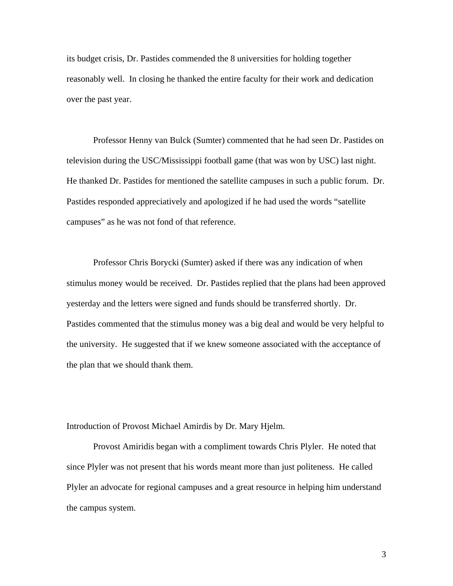its budget crisis, Dr. Pastides commended the 8 universities for holding together reasonably well. In closing he thanked the entire faculty for their work and dedication over the past year.

 Professor Henny van Bulck (Sumter) commented that he had seen Dr. Pastides on television during the USC/Mississippi football game (that was won by USC) last night. He thanked Dr. Pastides for mentioned the satellite campuses in such a public forum. Dr. Pastides responded appreciatively and apologized if he had used the words "satellite campuses" as he was not fond of that reference.

 Professor Chris Borycki (Sumter) asked if there was any indication of when stimulus money would be received. Dr. Pastides replied that the plans had been approved yesterday and the letters were signed and funds should be transferred shortly. Dr. Pastides commented that the stimulus money was a big deal and would be very helpful to the university. He suggested that if we knew someone associated with the acceptance of the plan that we should thank them.

Introduction of Provost Michael Amirdis by Dr. Mary Hjelm.

 Provost Amiridis began with a compliment towards Chris Plyler. He noted that since Plyler was not present that his words meant more than just politeness. He called Plyler an advocate for regional campuses and a great resource in helping him understand the campus system.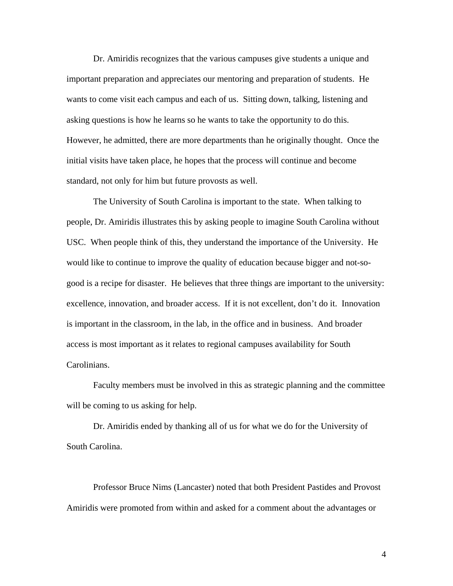Dr. Amiridis recognizes that the various campuses give students a unique and important preparation and appreciates our mentoring and preparation of students. He wants to come visit each campus and each of us. Sitting down, talking, listening and asking questions is how he learns so he wants to take the opportunity to do this. However, he admitted, there are more departments than he originally thought. Once the initial visits have taken place, he hopes that the process will continue and become standard, not only for him but future provosts as well.

 The University of South Carolina is important to the state. When talking to people, Dr. Amiridis illustrates this by asking people to imagine South Carolina without USC. When people think of this, they understand the importance of the University. He would like to continue to improve the quality of education because bigger and not-sogood is a recipe for disaster. He believes that three things are important to the university: excellence, innovation, and broader access. If it is not excellent, don't do it. Innovation is important in the classroom, in the lab, in the office and in business. And broader access is most important as it relates to regional campuses availability for South Carolinians.

 Faculty members must be involved in this as strategic planning and the committee will be coming to us asking for help.

 Dr. Amiridis ended by thanking all of us for what we do for the University of South Carolina.

 Professor Bruce Nims (Lancaster) noted that both President Pastides and Provost Amiridis were promoted from within and asked for a comment about the advantages or

4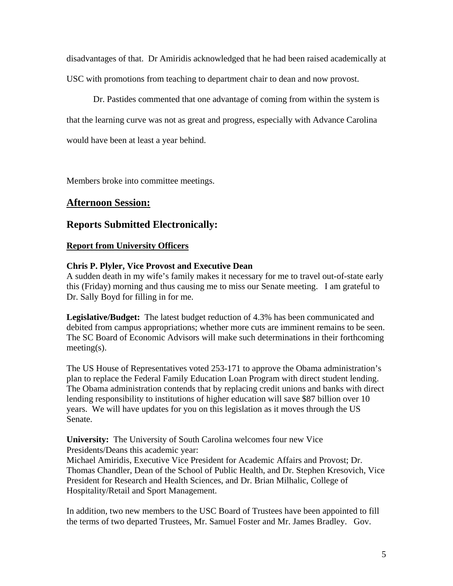disadvantages of that. Dr Amiridis acknowledged that he had been raised academically at USC with promotions from teaching to department chair to dean and now provost.

 Dr. Pastides commented that one advantage of coming from within the system is that the learning curve was not as great and progress, especially with Advance Carolina would have been at least a year behind.

Members broke into committee meetings.

# **Afternoon Session:**

# **Reports Submitted Electronically:**

## **Report from University Officers**

## **Chris P. Plyler, Vice Provost and Executive Dean**

A sudden death in my wife's family makes it necessary for me to travel out-of-state early this (Friday) morning and thus causing me to miss our Senate meeting. I am grateful to Dr. Sally Boyd for filling in for me.

**Legislative/Budget:** The latest budget reduction of 4.3% has been communicated and debited from campus appropriations; whether more cuts are imminent remains to be seen. The SC Board of Economic Advisors will make such determinations in their forthcoming meeting(s).

The US House of Representatives voted 253-171 to approve the Obama administration's plan to replace the Federal Family Education Loan Program with direct student lending. The Obama administration contends that by replacing credit unions and banks with direct lending responsibility to institutions of higher education will save \$87 billion over 10 years. We will have updates for you on this legislation as it moves through the US Senate.

**University:** The University of South Carolina welcomes four new Vice Presidents/Deans this academic year: Michael Amiridis, Executive Vice President for Academic Affairs and Provost; Dr. Thomas Chandler, Dean of the School of Public Health, and Dr. Stephen Kresovich, Vice President for Research and Health Sciences, and Dr. Brian Milhalic, College of Hospitality/Retail and Sport Management.

In addition, two new members to the USC Board of Trustees have been appointed to fill the terms of two departed Trustees, Mr. Samuel Foster and Mr. James Bradley. Gov.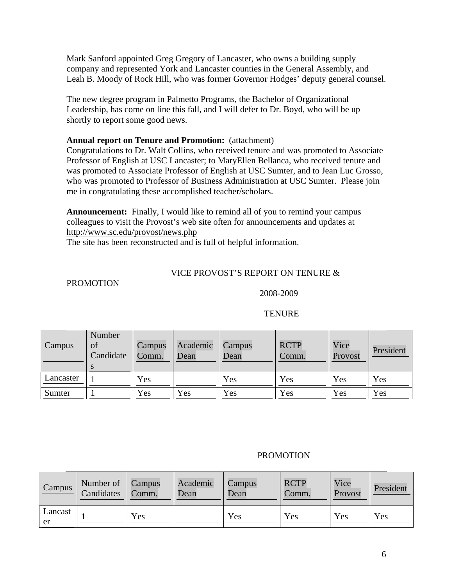Mark Sanford appointed Greg Gregory of Lancaster, who owns a building supply company and represented York and Lancaster counties in the General Assembly, and Leah B. Moody of Rock Hill, who was former Governor Hodges' deputy general counsel.

The new degree program in Palmetto Programs, the Bachelor of Organizational Leadership, has come on line this fall, and I will defer to Dr. Boyd, who will be up shortly to report some good news.

# **Annual report on Tenure and Promotion:** (attachment)

Congratulations to Dr. Walt Collins, who received tenure and was promoted to Associate Professor of English at USC Lancaster; to MaryEllen Bellanca, who received tenure and was promoted to Associate Professor of English at USC Sumter, and to Jean Luc Grosso, who was promoted to Professor of Business Administration at USC Sumter. Please join me in congratulating these accomplished teacher/scholars.

**Announcement:** Finally, I would like to remind all of you to remind your campus colleagues to visit the Provost's web site often for announcements and updates at http://www.sc.edu/provost/news.php

The site has been reconstructed and is full of helpful information.

# VICE PROVOST'S REPORT ON TENURE &

# PROMOTION

2008-2009

| Campus    | Number<br>of<br>Candidate | Campus<br>Comm. | Academic<br>Dean | Campus<br>Dean | <b>RCTP</b><br>Comm. | Vice<br>Provost | President |
|-----------|---------------------------|-----------------|------------------|----------------|----------------------|-----------------|-----------|
| Lancaster |                           | Yes             |                  | Yes            | Yes                  | Yes             | Yes       |
| Sumter    |                           | Yes             | Yes              | Yes            | Yes                  | Yes             | Yes       |

#### **TENURE**

#### PROMOTION

| Campus        | Number of Campus<br>Candidates | $\sim$ Comm. | Academic<br>Dean | Campus<br>Dean | <b>RCTP</b><br>Comm. | Vice<br>Provost | President |
|---------------|--------------------------------|--------------|------------------|----------------|----------------------|-----------------|-----------|
| Lancast<br>er |                                | Yes          |                  | Yes            | Yes                  | Yes             | Yes       |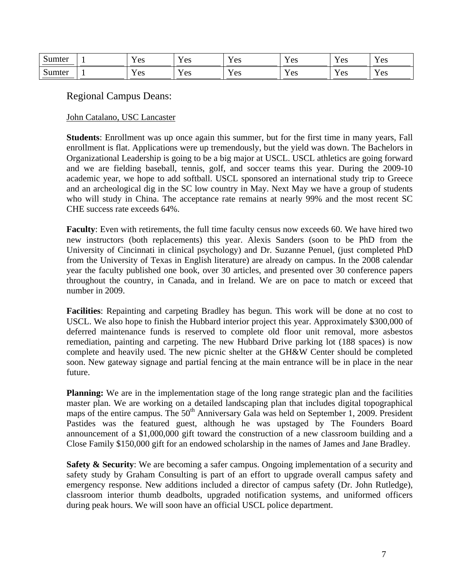| $\sim$<br>Sumter | $\mathbf{r}$<br>es<br><b>.</b>  | T<br>Y AC<br>1 L 2          | $\mathbf{x}$<br>Y es | $ -$<br>Y es         | $\mathbf{v}$<br>Y es | $\mathbf{r}$<br>Y es |
|------------------|---------------------------------|-----------------------------|----------------------|----------------------|----------------------|----------------------|
| Sumter           | $\mathbf{r}$<br>'es<br><b>.</b> | T<br>Y AC<br>1 <sub>0</sub> | $\mathbf{x}$<br>Y es | $\mathbf{r}$<br>Y es | $\mathbf{x}$<br>Y es | $\mathbf{v}$<br>Y es |

Regional Campus Deans:

# John Catalano, USC Lancaster

**Students**: Enrollment was up once again this summer, but for the first time in many years, Fall enrollment is flat. Applications were up tremendously, but the yield was down. The Bachelors in Organizational Leadership is going to be a big major at USCL. USCL athletics are going forward and we are fielding baseball, tennis, golf, and soccer teams this year. During the 2009-10 academic year, we hope to add softball. USCL sponsored an international study trip to Greece and an archeological dig in the SC low country in May. Next May we have a group of students who will study in China. The acceptance rate remains at nearly 99% and the most recent SC CHE success rate exceeds 64%.

**Faculty**: Even with retirements, the full time faculty census now exceeds 60. We have hired two new instructors (both replacements) this year. Alexis Sanders (soon to be PhD from the University of Cincinnati in clinical psychology) and Dr. Suzanne Penuel, (just completed PhD from the University of Texas in English literature) are already on campus. In the 2008 calendar year the faculty published one book, over 30 articles, and presented over 30 conference papers throughout the country, in Canada, and in Ireland. We are on pace to match or exceed that number in 2009.

**Facilities**: Repainting and carpeting Bradley has begun. This work will be done at no cost to USCL. We also hope to finish the Hubbard interior project this year. Approximately \$300,000 of deferred maintenance funds is reserved to complete old floor unit removal, more asbestos remediation, painting and carpeting. The new Hubbard Drive parking lot (188 spaces) is now complete and heavily used. The new picnic shelter at the GH&W Center should be completed soon. New gateway signage and partial fencing at the main entrance will be in place in the near future.

Planning: We are in the implementation stage of the long range strategic plan and the facilities master plan. We are working on a detailed landscaping plan that includes digital topographical maps of the entire campus. The  $50<sup>th</sup>$  Anniversary Gala was held on September 1, 2009. President Pastides was the featured guest, although he was upstaged by The Founders Board announcement of a \$1,000,000 gift toward the construction of a new classroom building and a Close Family \$150,000 gift for an endowed scholarship in the names of James and Jane Bradley.

**Safety & Security:** We are becoming a safer campus. Ongoing implementation of a security and safety study by Graham Consulting is part of an effort to upgrade overall campus safety and emergency response. New additions included a director of campus safety (Dr. John Rutledge), classroom interior thumb deadbolts, upgraded notification systems, and uniformed officers during peak hours. We will soon have an official USCL police department.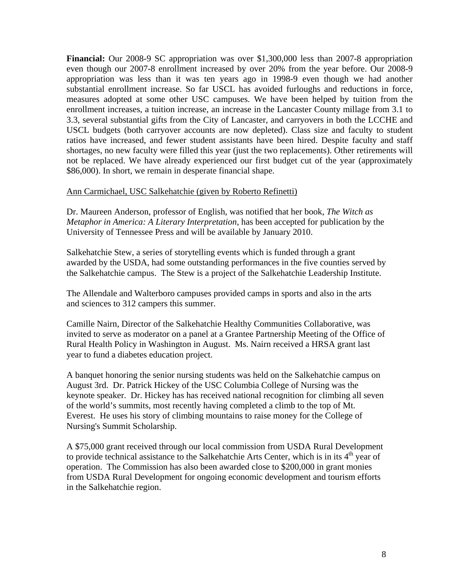**Financial:** Our 2008-9 SC appropriation was over \$1,300,000 less than 2007-8 appropriation even though our 2007-8 enrollment increased by over 20% from the year before. Our 2008-9 appropriation was less than it was ten years ago in 1998-9 even though we had another substantial enrollment increase. So far USCL has avoided furloughs and reductions in force, measures adopted at some other USC campuses. We have been helped by tuition from the enrollment increases, a tuition increase, an increase in the Lancaster County millage from 3.1 to 3.3, several substantial gifts from the City of Lancaster, and carryovers in both the LCCHE and USCL budgets (both carryover accounts are now depleted). Class size and faculty to student ratios have increased, and fewer student assistants have been hired. Despite faculty and staff shortages, no new faculty were filled this year (just the two replacements). Other retirements will not be replaced. We have already experienced our first budget cut of the year (approximately \$86,000). In short, we remain in desperate financial shape.

## Ann Carmichael, USC Salkehatchie (given by Roberto Refinetti)

Dr. Maureen Anderson, professor of English, was notified that her book, *The Witch as Metaphor in America: A Literary Interpretation*, has been accepted for publication by the University of Tennessee Press and will be available by January 2010.

Salkehatchie Stew, a series of storytelling events which is funded through a grant awarded by the USDA, had some outstanding performances in the five counties served by the Salkehatchie campus. The Stew is a project of the Salkehatchie Leadership Institute.

The Allendale and Walterboro campuses provided camps in sports and also in the arts and sciences to 312 campers this summer.

Camille Nairn, Director of the Salkehatchie Healthy Communities Collaborative, was invited to serve as moderator on a panel at a Grantee Partnership Meeting of the Office of Rural Health Policy in Washington in August. Ms. Nairn received a HRSA grant last year to fund a diabetes education project.

A banquet honoring the senior nursing students was held on the Salkehatchie campus on August 3rd. Dr. Patrick Hickey of the USC Columbia College of Nursing was the keynote speaker. Dr. Hickey has has received national recognition for climbing all seven of the world's summits, most recently having completed a climb to the top of Mt. Everest. He uses his story of climbing mountains to raise money for the College of Nursing's Summit Scholarship.

A \$75,000 grant received through our local commission from USDA Rural Development to provide technical assistance to the Salkehatchie Arts Center, which is in its  $4<sup>th</sup>$  year of operation. The Commission has also been awarded close to \$200,000 in grant monies from USDA Rural Development for ongoing economic development and tourism efforts in the Salkehatchie region.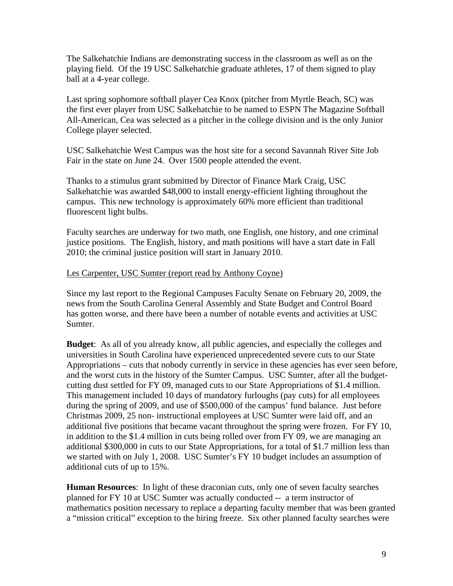The Salkehatchie Indians are demonstrating success in the classroom as well as on the playing field. Of the 19 USC Salkehatchie graduate athletes, 17 of them signed to play ball at a 4-year college.

Last spring sophomore softball player Cea Knox (pitcher from Myrtle Beach, SC) was the first ever player from USC Salkehatchie to be named to ESPN The Magazine Softball All-American, Cea was selected as a pitcher in the college division and is the only Junior College player selected.

USC Salkehatchie West Campus was the host site for a second Savannah River Site Job Fair in the state on June 24. Over 1500 people attended the event.

Thanks to a stimulus grant submitted by Director of Finance Mark Craig, USC Salkehatchie was awarded \$48,000 to install energy-efficient lighting throughout the campus. This new technology is approximately 60% more efficient than traditional fluorescent light bulbs.

Faculty searches are underway for two math, one English, one history, and one criminal justice positions. The English, history, and math positions will have a start date in Fall 2010; the criminal justice position will start in January 2010.

## Les Carpenter, USC Sumter (report read by Anthony Coyne)

Since my last report to the Regional Campuses Faculty Senate on February 20, 2009, the news from the South Carolina General Assembly and State Budget and Control Board has gotten worse, and there have been a number of notable events and activities at USC Sumter.

**Budget**: As all of you already know, all public agencies, and especially the colleges and universities in South Carolina have experienced unprecedented severe cuts to our State Appropriations – cuts that nobody currently in service in these agencies has ever seen before, and the worst cuts in the history of the Sumter Campus. USC Sumter, after all the budgetcutting dust settled for FY 09, managed cuts to our State Appropriations of \$1.4 million. This management included 10 days of mandatory furloughs (pay cuts) for all employees during the spring of 2009, and use of \$500,000 of the campus' fund balance. Just before Christmas 2009, 25 non- instructional employees at USC Sumter were laid off, and an additional five positions that became vacant throughout the spring were frozen. For FY 10, in addition to the \$1.4 million in cuts being rolled over from FY 09, we are managing an additional \$300,000 in cuts to our State Appropriations, for a total of \$1.7 million less than we started with on July 1, 2008. USC Sumter's FY 10 budget includes an assumption of additional cuts of up to 15%.

**Human Resources**: In light of these draconian cuts, only one of seven faculty searches planned for FY 10 at USC Sumter was actually conducted -- a term instructor of mathematics position necessary to replace a departing faculty member that was been granted a "mission critical" exception to the hiring freeze. Six other planned faculty searches were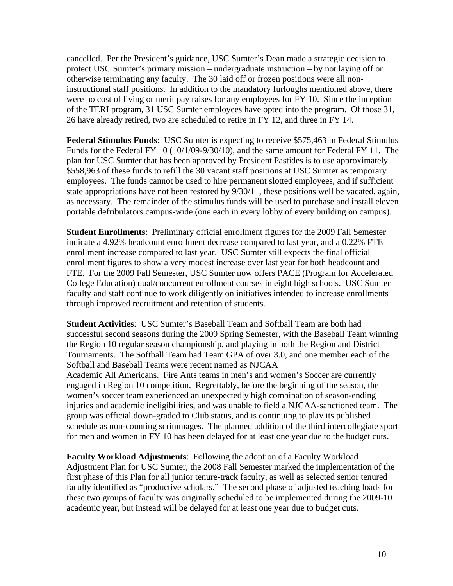cancelled. Per the President's guidance, USC Sumter's Dean made a strategic decision to protect USC Sumter's primary mission – undergraduate instruction – by not laying off or otherwise terminating any faculty. The 30 laid off or frozen positions were all noninstructional staff positions. In addition to the mandatory furloughs mentioned above, there were no cost of living or merit pay raises for any employees for FY 10. Since the inception of the TERI program, 31 USC Sumter employees have opted into the program. Of those 31, 26 have already retired, two are scheduled to retire in FY 12, and three in FY 14.

**Federal Stimulus Funds**: USC Sumter is expecting to receive \$575,463 in Federal Stimulus Funds for the Federal FY 10 (10/1/09-9/30/10), and the same amount for Federal FY 11. The plan for USC Sumter that has been approved by President Pastides is to use approximately \$558,963 of these funds to refill the 30 vacant staff positions at USC Sumter as temporary employees. The funds cannot be used to hire permanent slotted employees, and if sufficient state appropriations have not been restored by 9/30/11, these positions well be vacated, again, as necessary. The remainder of the stimulus funds will be used to purchase and install eleven portable defribulators campus-wide (one each in every lobby of every building on campus).

**Student Enrollments**: Preliminary official enrollment figures for the 2009 Fall Semester indicate a 4.92% headcount enrollment decrease compared to last year, and a 0.22% FTE enrollment increase compared to last year. USC Sumter still expects the final official enrollment figures to show a very modest increase over last year for both headcount and FTE. For the 2009 Fall Semester, USC Sumter now offers PACE (Program for Accelerated College Education) dual/concurrent enrollment courses in eight high schools. USC Sumter faculty and staff continue to work diligently on initiatives intended to increase enrollments through improved recruitment and retention of students.

**Student Activities**: USC Sumter's Baseball Team and Softball Team are both had successful second seasons during the 2009 Spring Semester, with the Baseball Team winning the Region 10 regular season championship, and playing in both the Region and District Tournaments. The Softball Team had Team GPA of over 3.0, and one member each of the Softball and Baseball Teams were recent named as NJCAA

Academic All Americans. Fire Ants teams in men's and women's Soccer are currently engaged in Region 10 competition. Regrettably, before the beginning of the season, the women's soccer team experienced an unexpectedly high combination of season-ending injuries and academic ineligibilities, and was unable to field a NJCAA-sanctioned team. The group was official down-graded to Club status, and is continuing to play its published schedule as non-counting scrimmages. The planned addition of the third intercollegiate sport for men and women in FY 10 has been delayed for at least one year due to the budget cuts.

**Faculty Workload Adjustments**: Following the adoption of a Faculty Workload Adjustment Plan for USC Sumter, the 2008 Fall Semester marked the implementation of the first phase of this Plan for all junior tenure-track faculty, as well as selected senior tenured faculty identified as "productive scholars." The second phase of adjusted teaching loads for these two groups of faculty was originally scheduled to be implemented during the 2009-10 academic year, but instead will be delayed for at least one year due to budget cuts.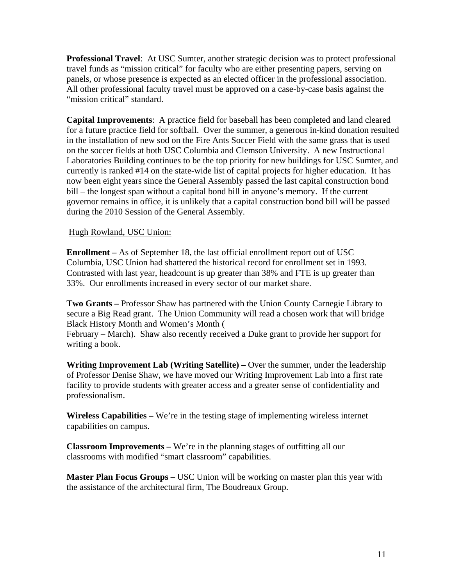**Professional Travel**: At USC Sumter, another strategic decision was to protect professional travel funds as "mission critical" for faculty who are either presenting papers, serving on panels, or whose presence is expected as an elected officer in the professional association. All other professional faculty travel must be approved on a case-by-case basis against the "mission critical" standard.

**Capital Improvements**: A practice field for baseball has been completed and land cleared for a future practice field for softball. Over the summer, a generous in-kind donation resulted in the installation of new sod on the Fire Ants Soccer Field with the same grass that is used on the soccer fields at both USC Columbia and Clemson University. A new Instructional Laboratories Building continues to be the top priority for new buildings for USC Sumter, and currently is ranked #14 on the state-wide list of capital projects for higher education. It has now been eight years since the General Assembly passed the last capital construction bond bill – the longest span without a capital bond bill in anyone's memory. If the current governor remains in office, it is unlikely that a capital construction bond bill will be passed during the 2010 Session of the General Assembly.

# Hugh Rowland, USC Union:

**Enrollment –** As of September 18, the last official enrollment report out of USC Columbia, USC Union had shattered the historical record for enrollment set in 1993. Contrasted with last year, headcount is up greater than 38% and FTE is up greater than 33%. Our enrollments increased in every sector of our market share.

**Two Grants –** Professor Shaw has partnered with the Union County Carnegie Library to secure a Big Read grant. The Union Community will read a chosen work that will bridge Black History Month and Women's Month (

February – March). Shaw also recently received a Duke grant to provide her support for writing a book.

**Writing Improvement Lab (Writing Satellite) –** Over the summer, under the leadership of Professor Denise Shaw, we have moved our Writing Improvement Lab into a first rate facility to provide students with greater access and a greater sense of confidentiality and professionalism.

**Wireless Capabilities –** We're in the testing stage of implementing wireless internet capabilities on campus.

**Classroom Improvements –** We're in the planning stages of outfitting all our classrooms with modified "smart classroom" capabilities.

**Master Plan Focus Groups –** USC Union will be working on master plan this year with the assistance of the architectural firm, The Boudreaux Group.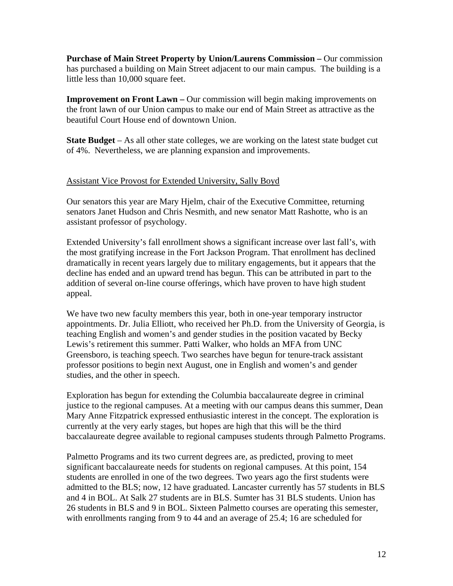**Purchase of Main Street Property by Union/Laurens Commission –** Our commission has purchased a building on Main Street adjacent to our main campus. The building is a little less than 10,000 square feet.

**Improvement on Front Lawn –** Our commission will begin making improvements on the front lawn of our Union campus to make our end of Main Street as attractive as the beautiful Court House end of downtown Union.

**State Budget** – As all other state colleges, we are working on the latest state budget cut of 4%. Nevertheless, we are planning expansion and improvements.

# Assistant Vice Provost for Extended University, Sally Boyd

Our senators this year are Mary Hjelm, chair of the Executive Committee, returning senators Janet Hudson and Chris Nesmith, and new senator Matt Rashotte, who is an assistant professor of psychology.

Extended University's fall enrollment shows a significant increase over last fall's, with the most gratifying increase in the Fort Jackson Program. That enrollment has declined dramatically in recent years largely due to military engagements, but it appears that the decline has ended and an upward trend has begun. This can be attributed in part to the addition of several on-line course offerings, which have proven to have high student appeal.

We have two new faculty members this year, both in one-year temporary instructor appointments. Dr. Julia Elliott, who received her Ph.D. from the University of Georgia, is teaching English and women's and gender studies in the position vacated by Becky Lewis's retirement this summer. Patti Walker, who holds an MFA from UNC Greensboro, is teaching speech. Two searches have begun for tenure-track assistant professor positions to begin next August, one in English and women's and gender studies, and the other in speech.

Exploration has begun for extending the Columbia baccalaureate degree in criminal justice to the regional campuses. At a meeting with our campus deans this summer, Dean Mary Anne Fitzpatrick expressed enthusiastic interest in the concept. The exploration is currently at the very early stages, but hopes are high that this will be the third baccalaureate degree available to regional campuses students through Palmetto Programs.

Palmetto Programs and its two current degrees are, as predicted, proving to meet significant baccalaureate needs for students on regional campuses. At this point, 154 students are enrolled in one of the two degrees. Two years ago the first students were admitted to the BLS; now, 12 have graduated. Lancaster currently has 57 students in BLS and 4 in BOL. At Salk 27 students are in BLS. Sumter has 31 BLS students. Union has 26 students in BLS and 9 in BOL. Sixteen Palmetto courses are operating this semester, with enrollments ranging from 9 to 44 and an average of 25.4; 16 are scheduled for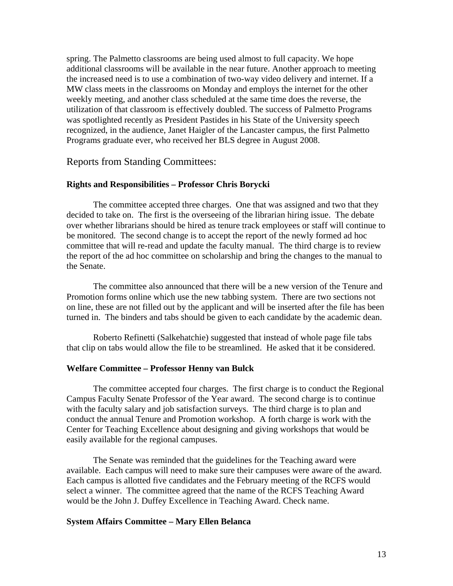spring. The Palmetto classrooms are being used almost to full capacity. We hope additional classrooms will be available in the near future. Another approach to meeting the increased need is to use a combination of two-way video delivery and internet. If a MW class meets in the classrooms on Monday and employs the internet for the other weekly meeting, and another class scheduled at the same time does the reverse, the utilization of that classroom is effectively doubled. The success of Palmetto Programs was spotlighted recently as President Pastides in his State of the University speech recognized, in the audience, Janet Haigler of the Lancaster campus, the first Palmetto Programs graduate ever, who received her BLS degree in August 2008.

### Reports from Standing Committees:

#### **Rights and Responsibilities – Professor Chris Borycki**

 The committee accepted three charges. One that was assigned and two that they decided to take on. The first is the overseeing of the librarian hiring issue. The debate over whether librarians should be hired as tenure track employees or staff will continue to be monitored. The second change is to accept the report of the newly formed ad hoc committee that will re-read and update the faculty manual. The third charge is to review the report of the ad hoc committee on scholarship and bring the changes to the manual to the Senate.

 The committee also announced that there will be a new version of the Tenure and Promotion forms online which use the new tabbing system. There are two sections not on line, these are not filled out by the applicant and will be inserted after the file has been turned in. The binders and tabs should be given to each candidate by the academic dean.

 Roberto Refinetti (Salkehatchie) suggested that instead of whole page file tabs that clip on tabs would allow the file to be streamlined. He asked that it be considered.

#### **Welfare Committee – Professor Henny van Bulck**

 The committee accepted four charges. The first charge is to conduct the Regional Campus Faculty Senate Professor of the Year award. The second charge is to continue with the faculty salary and job satisfaction surveys. The third charge is to plan and conduct the annual Tenure and Promotion workshop. A forth charge is work with the Center for Teaching Excellence about designing and giving workshops that would be easily available for the regional campuses.

 The Senate was reminded that the guidelines for the Teaching award were available. Each campus will need to make sure their campuses were aware of the award. Each campus is allotted five candidates and the February meeting of the RCFS would select a winner. The committee agreed that the name of the RCFS Teaching Award would be the John J. Duffey Excellence in Teaching Award. Check name.

#### **System Affairs Committee – Mary Ellen Belanca**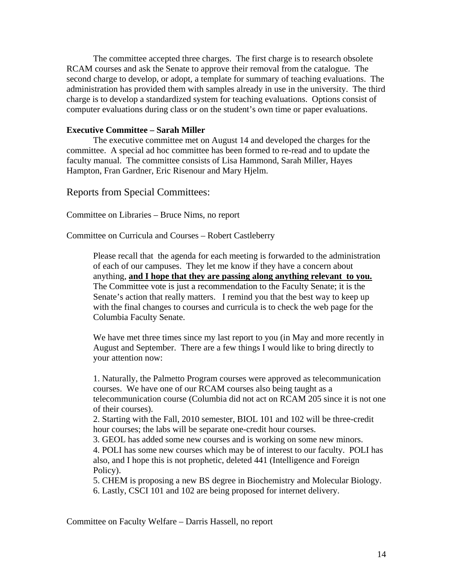The committee accepted three charges. The first charge is to research obsolete RCAM courses and ask the Senate to approve their removal from the catalogue. The second charge to develop, or adopt, a template for summary of teaching evaluations. The administration has provided them with samples already in use in the university. The third charge is to develop a standardized system for teaching evaluations. Options consist of computer evaluations during class or on the student's own time or paper evaluations.

### **Executive Committee – Sarah Miller**

 The executive committee met on August 14 and developed the charges for the committee. A special ad hoc committee has been formed to re-read and to update the faculty manual. The committee consists of Lisa Hammond, Sarah Miller, Hayes Hampton, Fran Gardner, Eric Risenour and Mary Hjelm.

Reports from Special Committees:

Committee on Libraries – Bruce Nims, no report

Committee on Curricula and Courses – Robert Castleberry

Please recall that the agenda for each meeting is forwarded to the administration of each of our campuses. They let me know if they have a concern about anything, **and I hope that they are passing along anything relevant to you.** The Committee vote is just a recommendation to the Faculty Senate; it is the Senate's action that really matters. I remind you that the best way to keep up with the final changes to courses and curricula is to check the web page for the Columbia Faculty Senate.

We have met three times since my last report to you (in May and more recently in August and September. There are a few things I would like to bring directly to your attention now:

1. Naturally, the Palmetto Program courses were approved as telecommunication courses. We have one of our RCAM courses also being taught as a telecommunication course (Columbia did not act on RCAM 205 since it is not one of their courses).

2. Starting with the Fall, 2010 semester, BIOL 101 and 102 will be three-credit hour courses; the labs will be separate one-credit hour courses.

3. GEOL has added some new courses and is working on some new minors. 4. POLI has some new courses which may be of interest to our faculty. POLI has also, and I hope this is not prophetic, deleted 441 (Intelligence and Foreign Policy).

5. CHEM is proposing a new BS degree in Biochemistry and Molecular Biology. 6. Lastly, CSCI 101 and 102 are being proposed for internet delivery.

Committee on Faculty Welfare – Darris Hassell, no report